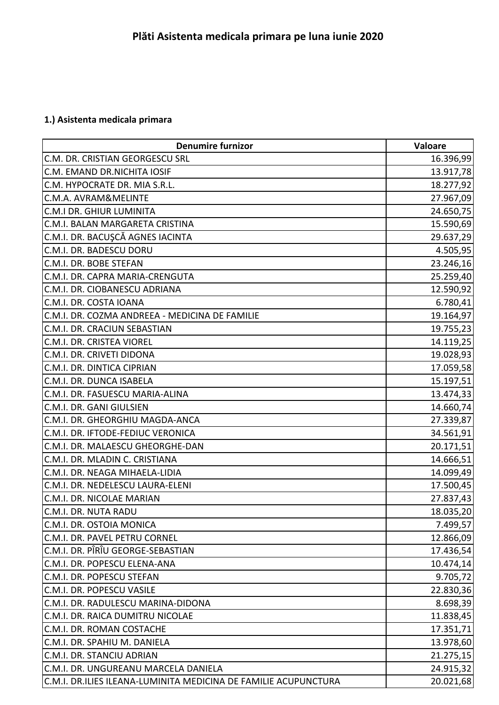## **1.) Asistenta medicala primara**

| <b>Denumire furnizor</b>                                        | Valoare   |
|-----------------------------------------------------------------|-----------|
| C.M. DR. CRISTIAN GEORGESCU SRL                                 | 16.396,99 |
| C.M. EMAND DR.NICHITA IOSIF                                     | 13.917,78 |
| C.M. HYPOCRATE DR. MIA S.R.L.                                   | 18.277,92 |
| C.M.A. AVRAM&MELINTE                                            | 27.967,09 |
| <b>C.M.I DR. GHIUR LUMINITA</b>                                 | 24.650,75 |
| C.M.I. BALAN MARGARETA CRISTINA                                 | 15.590,69 |
| C.M.I. DR. BACUŞCĂ AGNES IACINTA                                | 29.637,29 |
| C.M.I. DR. BADESCU DORU                                         | 4.505,95  |
| C.M.I. DR. BOBE STEFAN                                          | 23.246,16 |
| C.M.I. DR. CAPRA MARIA-CRENGUTA                                 | 25.259,40 |
| C.M.I. DR. CIOBANESCU ADRIANA                                   | 12.590,92 |
| C.M.I. DR. COSTA IOANA                                          | 6.780,41  |
| C.M.I. DR. COZMA ANDREEA - MEDICINA DE FAMILIE                  | 19.164,97 |
| C.M.I. DR. CRACIUN SEBASTIAN                                    | 19.755,23 |
| C.M.I. DR. CRISTEA VIOREL                                       | 14.119,25 |
| C.M.I. DR. CRIVETI DIDONA                                       | 19.028,93 |
| C.M.I. DR. DINTICA CIPRIAN                                      | 17.059,58 |
| C.M.I. DR. DUNCA ISABELA                                        | 15.197,51 |
| C.M.I. DR. FASUESCU MARIA-ALINA                                 | 13.474,33 |
| C.M.I. DR. GANI GIULSIEN                                        | 14.660,74 |
| C.M.I. DR. GHEORGHIU MAGDA-ANCA                                 | 27.339,87 |
| C.M.I. DR. IFTODE-FEDIUC VERONICA                               | 34.561,91 |
| C.M.I. DR. MALAESCU GHEORGHE-DAN                                | 20.171,51 |
| C.M.I. DR. MLADIN C. CRISTIANA                                  | 14.666,51 |
| C.M.I. DR. NEAGA MIHAELA-LIDIA                                  | 14.099,49 |
| C.M.I. DR. NEDELESCU LAURA-ELENI                                | 17.500,45 |
| C.M.I. DR. NICOLAE MARIAN                                       | 27.837,43 |
| C.M.I. DR. NUTA RADU                                            | 18.035,20 |
| C.M.I. DR. OSTOIA MONICA                                        | 7.499,57  |
| C.M.I. DR. PAVEL PETRU CORNEL                                   | 12.866,09 |
| C.M.I. DR. PÎRÎU GEORGE-SEBASTIAN                               | 17.436,54 |
| C.M.I. DR. POPESCU ELENA-ANA                                    | 10.474,14 |
| C.M.I. DR. POPESCU STEFAN                                       | 9.705, 72 |
| C.M.I. DR. POPESCU VASILE                                       | 22.830,36 |
| C.M.I. DR. RADULESCU MARINA-DIDONA                              | 8.698,39  |
| C.M.I. DR. RAICA DUMITRU NICOLAE                                | 11.838,45 |
| C.M.I. DR. ROMAN COSTACHE                                       | 17.351,71 |
| C.M.I. DR. SPAHIU M. DANIELA                                    | 13.978,60 |
| C.M.I. DR. STANCIU ADRIAN                                       | 21.275,15 |
| C.M.I. DR. UNGUREANU MARCELA DANIELA                            | 24.915,32 |
| C.M.I. DR.ILIES ILEANA-LUMINITA MEDICINA DE FAMILIE ACUPUNCTURA | 20.021,68 |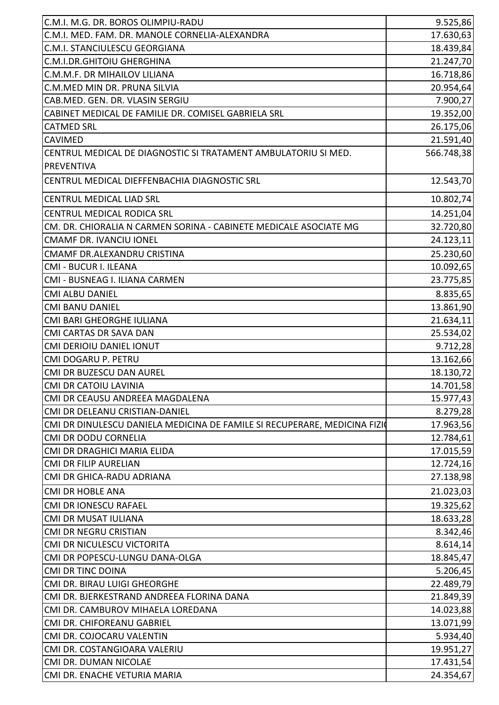| C.M.I. M.G. DR. BOROS OLIMPIU-RADU                                        | 9.525,86   |
|---------------------------------------------------------------------------|------------|
| C.M.I. MED. FAM. DR. MANOLE CORNELIA-ALEXANDRA                            | 17.630,63  |
| C.M.I. STANCIULESCU GEORGIANA                                             | 18.439,84  |
| C.M.I.DR.GHITOIU GHERGHINA                                                | 21.247,70  |
| C.M.M.F. DR MIHAILOV LILIANA                                              | 16.718,86  |
| C.M.MED MIN DR. PRUNA SILVIA                                              | 20.954,64  |
| CAB.MED. GEN. DR. VLASIN SERGIU                                           | 7.900,27   |
| CABINET MEDICAL DE FAMILIE DR. COMISEL GABRIELA SRL                       | 19.352,00  |
| <b>CATMED SRL</b>                                                         | 26.175,06  |
| <b>CAVIMED</b>                                                            | 21.591,40  |
| CENTRUL MEDICAL DE DIAGNOSTIC SI TRATAMENT AMBULATORIU SI MED.            | 566.748,38 |
| <b>PREVENTIVA</b>                                                         |            |
| CENTRUL MEDICAL DIEFFENBACHIA DIAGNOSTIC SRL                              | 12.543,70  |
| <b>CENTRUL MEDICAL LIAD SRL</b>                                           | 10.802,74  |
| CENTRUL MEDICAL RODICA SRL                                                | 14.251,04  |
| CM. DR. CHIORALIA N CARMEN SORINA - CABINETE MEDICALE ASOCIATE MG         | 32.720,80  |
| <b>CMAMF DR. IVANCIU IONEL</b>                                            | 24.123,11  |
| CMAMF DR.ALEXANDRU CRISTINA                                               | 25.230,60  |
| CMI - BUCUR I. ILEANA                                                     | 10.092,65  |
| CMI - BUSNEAG I. ILIANA CARMEN                                            | 23.775,85  |
| <b>CMI ALBU DANIEL</b>                                                    | 8.835,65   |
| <b>CMI BANU DANIEL</b>                                                    | 13.861,90  |
| CMI BARI GHEORGHE IULIANA                                                 | 21.634,11  |
| CMI CARTAS DR SAVA DAN                                                    | 25.534,02  |
| <b>CMI DERIOIU DANIEL IONUT</b>                                           | 9.712,28   |
| CMI DOGARU P. PETRU                                                       | 13.162,66  |
| CMI DR BUZESCU DAN AUREL                                                  | 18.130,72  |
| <b>CMI DR CATOIU LAVINIA</b>                                              | 14.701,58  |
| CMI DR CEAUSU ANDREEA MAGDALENA                                           | 15.977,43  |
| CMI DR DELEANU CRISTIAN-DANIEL                                            | 8.279,28   |
| CMI DR DINULESCU DANIELA MEDICINA DE FAMILE SI RECUPERARE, MEDICINA FIZIO | 17.963,56  |
| <b>CMI DR DODU CORNELIA</b>                                               | 12.784,61  |
| CMI DR DRAGHICI MARIA ELIDA                                               | 17.015,59  |
| <b>CMI DR FILIP AURELIAN</b>                                              | 12.724,16  |
| CMI DR GHICA-RADU ADRIANA                                                 | 27.138,98  |
| <b>CMI DR HOBLE ANA</b>                                                   | 21.023,03  |
| <b>CMI DR IONESCU RAFAEL</b>                                              | 19.325,62  |
| <b>CMI DR MUSAT IULIANA</b>                                               | 18.633,28  |
| <b>CMI DR NEGRU CRISTIAN</b>                                              | 8.342,46   |
| CMI DR NICULESCU VICTORITA                                                | 8.614,14   |
| CMI DR POPESCU-LUNGU DANA-OLGA                                            | 18.845,47  |
| <b>CMI DR TINC DOINA</b>                                                  | 5.206,45   |
| CMI DR. BIRAU LUIGI GHEORGHE                                              | 22.489,79  |
| CMI DR. BJERKESTRAND ANDREEA FLORINA DANA                                 | 21.849,39  |
| CMI DR. CAMBUROV MIHAELA LOREDANA                                         | 14.023,88  |
| CMI DR. CHIFOREANU GABRIEL                                                | 13.071,99  |
| CMI DR. COJOCARU VALENTIN                                                 | 5.934,40   |
| CMI DR. COSTANGIOARA VALERIU                                              | 19.951,27  |
| CMI DR. DUMAN NICOLAE                                                     | 17.431,54  |
| CMI DR. ENACHE VETURIA MARIA                                              | 24.354,67  |
|                                                                           |            |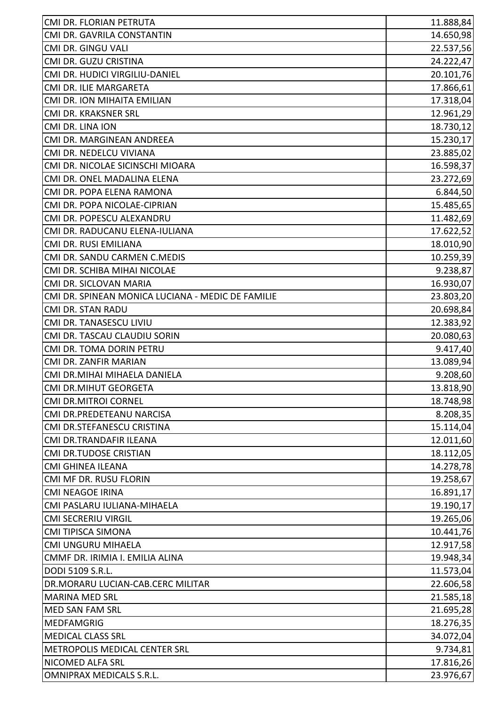| CMI DR. FLORIAN PETRUTA                           | 11.888,84 |
|---------------------------------------------------|-----------|
| CMI DR. GAVRILA CONSTANTIN                        | 14.650,98 |
| CMI DR. GINGU VALI                                | 22.537,56 |
| CMI DR. GUZU CRISTINA                             | 24.222,47 |
| CMI DR. HUDICI VIRGILIU-DANIEL                    | 20.101,76 |
| CMI DR. ILIE MARGARETA                            | 17.866,61 |
| CMI DR. ION MIHAITA EMILIAN                       | 17.318,04 |
| CMI DR. KRAKSNER SRL                              | 12.961,29 |
| CMI DR. LINA ION                                  | 18.730,12 |
| CMI DR. MARGINEAN ANDREEA                         | 15.230,17 |
| CMI DR. NEDELCU VIVIANA                           | 23.885,02 |
| CMI DR. NICOLAE SICINSCHI MIOARA                  | 16.598,37 |
| CMI DR. ONEL MADALINA ELENA                       | 23.272,69 |
| CMI DR. POPA ELENA RAMONA                         | 6.844,50  |
| CMI DR. POPA NICOLAE-CIPRIAN                      | 15.485,65 |
| CMI DR. POPESCU ALEXANDRU                         | 11.482,69 |
| CMI DR. RADUCANU ELENA-IULIANA                    | 17.622,52 |
| CMI DR. RUSI EMILIANA                             | 18.010,90 |
| CMI DR. SANDU CARMEN C.MEDIS                      | 10.259,39 |
| CMI DR. SCHIBA MIHAI NICOLAE                      | 9.238,87  |
| CMI DR. SICLOVAN MARIA                            | 16.930,07 |
| CMI DR. SPINEAN MONICA LUCIANA - MEDIC DE FAMILIE | 23.803,20 |
| <b>CMI DR. STAN RADU</b>                          | 20.698,84 |
| CMI DR. TANASESCU LIVIU                           | 12.383,92 |
| CMI DR. TASCAU CLAUDIU SORIN                      | 20.080,63 |
| CMI DR. TOMA DORIN PETRU                          | 9.417,40  |
| CMI DR. ZANFIR MARIAN                             | 13.089,94 |
| CMI DR.MIHAI MIHAELA DANIELA                      | 9.208,60  |
| <b>CMI DR.MIHUT GEORGETA</b>                      | 13.818,90 |
| <b>CMI DR.MITROI CORNEL</b>                       | 18.748,98 |
| CMI DR.PREDETEANU NARCISA                         | 8.208,35  |
| CMI DR.STEFANESCU CRISTINA                        | 15.114,04 |
| CMI DR.TRANDAFIR ILEANA                           | 12.011,60 |
| <b>CMI DR.TUDOSE CRISTIAN</b>                     | 18.112,05 |
| CMI GHINEA ILEANA                                 | 14.278,78 |
| CMI MF DR. RUSU FLORIN                            | 19.258,67 |
| <b>CMI NEAGOE IRINA</b>                           | 16.891,17 |
| CMI PASLARU IULIANA-MIHAELA                       | 19.190,17 |
| <b>CMI SECRERIU VIRGIL</b>                        | 19.265,06 |
| <b>CMI TIPISCA SIMONA</b>                         | 10.441,76 |
| CMI UNGURU MIHAELA                                | 12.917,58 |
| CMMF DR. IRIMIA I. EMILIA ALINA                   | 19.948,34 |
| DODI 5109 S.R.L.                                  | 11.573,04 |
| DR.MORARU LUCIAN-CAB.CERC MILITAR                 | 22.606,58 |
| <b>MARINA MED SRL</b>                             | 21.585,18 |
| <b>MED SAN FAM SRL</b>                            | 21.695,28 |
| <b>MEDFAMGRIG</b>                                 | 18.276,35 |
| <b>MEDICAL CLASS SRL</b>                          | 34.072,04 |
| METROPOLIS MEDICAL CENTER SRL                     | 9.734,81  |
| NICOMED ALFA SRL                                  | 17.816,26 |
| OMNIPRAX MEDICALS S.R.L.                          | 23.976,67 |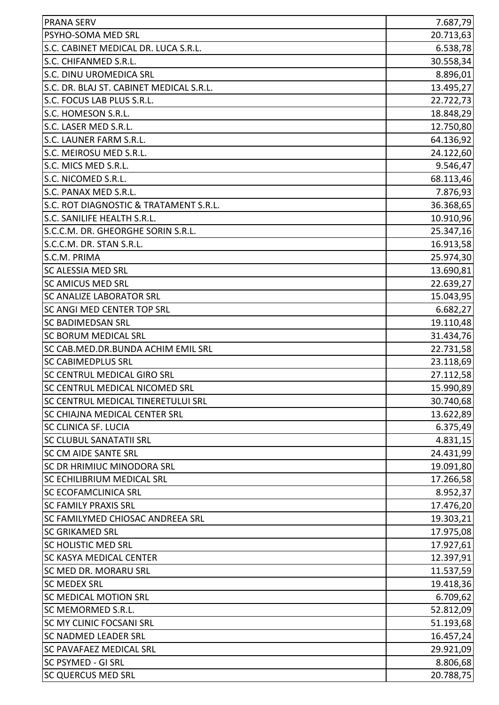| <b>PRANA SERV</b>                         | 7.687,79  |
|-------------------------------------------|-----------|
| PSYHO-SOMA MED SRL                        | 20.713,63 |
| S.C. CABINET MEDICAL DR. LUCA S.R.L.      | 6.538,78  |
| S.C. CHIFANMED S.R.L.                     | 30.558,34 |
| S.C. DINU UROMEDICA SRL                   | 8.896,01  |
| S.C. DR. BLAJ ST. CABINET MEDICAL S.R.L.  | 13.495,27 |
| S.C. FOCUS LAB PLUS S.R.L.                | 22.722,73 |
| S.C. HOMESON S.R.L.                       | 18.848,29 |
| S.C. LASER MED S.R.L.                     | 12.750,80 |
| S.C. LAUNER FARM S.R.L.                   | 64.136,92 |
| S.C. MEIROSU MED S.R.L.                   | 24.122,60 |
| S.C. MICS MED S.R.L.                      | 9.546,47  |
| S.C. NICOMED S.R.L.                       | 68.113,46 |
| S.C. PANAX MED S.R.L.                     | 7.876,93  |
| S.C. ROT DIAGNOSTIC & TRATAMENT S.R.L.    | 36.368,65 |
| S.C. SANILIFE HEALTH S.R.L.               | 10.910,96 |
| S.C.C.M. DR. GHEORGHE SORIN S.R.L.        | 25.347,16 |
| S.C.C.M. DR. STAN S.R.L.                  | 16.913,58 |
| S.C.M. PRIMA                              | 25.974,30 |
| <b>SC ALESSIA MED SRL</b>                 | 13.690,81 |
| <b>SC AMICUS MED SRL</b>                  | 22.639,27 |
| <b>SC ANALIZE LABORATOR SRL</b>           | 15.043,95 |
| <b>SC ANGI MED CENTER TOP SRL</b>         | 6.682,27  |
| <b>SC BADIMEDSAN SRL</b>                  | 19.110,48 |
| <b>SC BORUM MEDICAL SRL</b>               | 31.434,76 |
| SC CAB.MED.DR.BUNDA ACHIM EMIL SRL        | 22.731,58 |
| <b>SC CABIMEDPLUS SRL</b>                 | 23.118,69 |
| SC CENTRUL MEDICAL GIRO SRL               | 27.112,58 |
| <b>SC CENTRUL MEDICAL NICOMED SRL</b>     | 15.990,89 |
| <b>SC CENTRUL MEDICAL TINERETULUI SRL</b> | 30.740,68 |
| SC CHIAJNA MEDICAL CENTER SRL             | 13.622,89 |
| <b>SC CLINICA SF. LUCIA</b>               | 6.375,49  |
| <b>SC CLUBUL SANATATII SRL</b>            | 4.831,15  |
| <b>SC CM AIDE SANTE SRL</b>               | 24.431,99 |
| <b>SC DR HRIMIUC MINODORA SRL</b>         | 19.091,80 |
| <b>SC ECHILIBRIUM MEDICAL SRL</b>         | 17.266,58 |
| <b>SC ECOFAMCLINICA SRL</b>               | 8.952,37  |
| <b>SC FAMILY PRAXIS SRL</b>               | 17.476,20 |
| <b>SC FAMILYMED CHIOSAC ANDREEA SRL</b>   | 19.303,21 |
| <b>SC GRIKAMED SRL</b>                    | 17.975,08 |
| <b>SC HOLISTIC MED SRL</b>                | 17.927,61 |
| <b>SC KASYA MEDICAL CENTER</b>            | 12.397,91 |
| SC MED DR. MORARU SRL                     | 11.537,59 |
| <b>SC MEDEX SRL</b>                       | 19.418,36 |
| <b>SC MEDICAL MOTION SRL</b>              | 6.709,62  |
| SC MEMORMED S.R.L.                        | 52.812,09 |
| <b>SC MY CLINIC FOCSANI SRL</b>           | 51.193,68 |
| <b>SC NADMED LEADER SRL</b>               | 16.457,24 |
| <b>SC PAVAFAEZ MEDICAL SRL</b>            | 29.921,09 |
| SC PSYMED - GI SRL                        | 8.806,68  |
| <b>SC QUERCUS MED SRL</b>                 | 20.788,75 |